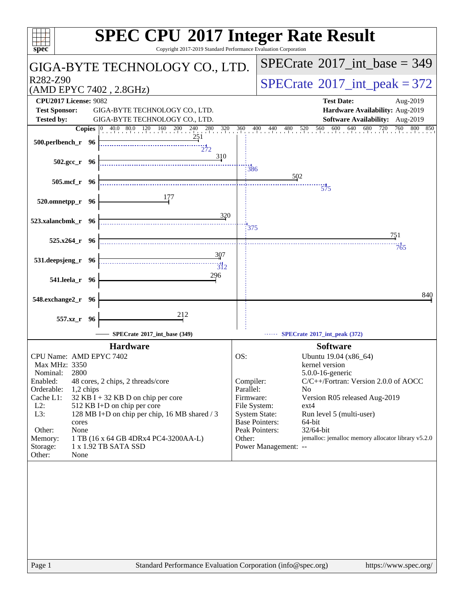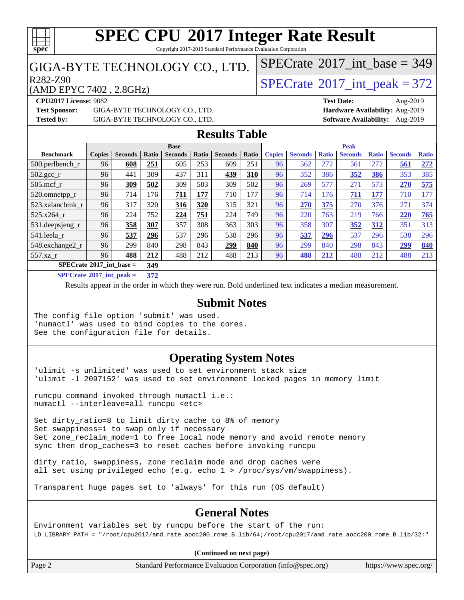

Copyright 2017-2019 Standard Performance Evaluation Corporation

### GIGA-BYTE TECHNOLOGY CO., LTD.

 $R^{282-Z90}$ <br>(AMD EPYC 7402 2 8GHz) [SPECrate](http://www.spec.org/auto/cpu2017/Docs/result-fields.html#SPECrate2017intpeak)®[2017\\_int\\_peak = 3](http://www.spec.org/auto/cpu2017/Docs/result-fields.html#SPECrate2017intpeak)72

 $SPECTate$ <sup>®</sup>[2017\\_int\\_base =](http://www.spec.org/auto/cpu2017/Docs/result-fields.html#SPECrate2017intbase) 349

(AMD EPYC 7402 , 2.8GHz)

**[Tested by:](http://www.spec.org/auto/cpu2017/Docs/result-fields.html#Testedby)** GIGA-BYTE TECHNOLOGY CO., LTD. **[Software Availability:](http://www.spec.org/auto/cpu2017/Docs/result-fields.html#SoftwareAvailability)** Aug-2019

**[CPU2017 License:](http://www.spec.org/auto/cpu2017/Docs/result-fields.html#CPU2017License)** 9082 **[Test Date:](http://www.spec.org/auto/cpu2017/Docs/result-fields.html#TestDate)** Aug-2019 **[Test Sponsor:](http://www.spec.org/auto/cpu2017/Docs/result-fields.html#TestSponsor)** GIGA-BYTE TECHNOLOGY CO., LTD. **[Hardware Availability:](http://www.spec.org/auto/cpu2017/Docs/result-fields.html#HardwareAvailability)** Aug-2019

#### **[Results Table](http://www.spec.org/auto/cpu2017/Docs/result-fields.html#ResultsTable)**

|                                   |               |                |       | <b>Base</b>    |       |                |       | <b>Peak</b>   |                |              |                |              |                |              |
|-----------------------------------|---------------|----------------|-------|----------------|-------|----------------|-------|---------------|----------------|--------------|----------------|--------------|----------------|--------------|
| <b>Benchmark</b>                  | <b>Copies</b> | <b>Seconds</b> | Ratio | <b>Seconds</b> | Ratio | <b>Seconds</b> | Ratio | <b>Copies</b> | <b>Seconds</b> | <b>Ratio</b> | <b>Seconds</b> | <b>Ratio</b> | <b>Seconds</b> | <b>Ratio</b> |
| $500$ .perlbench r                | 96            | 608            | 251   | 605            | 253   | 609            | 251   | 96            | 562            | 272          | 561            | 272          | 561            | 272          |
| $502.\text{sec}$                  | 96            | 441            | 309   | 437            | 311   | 439            | 310   | 96            | 352            | 386          | 352            | 386          | 353            | 385          |
| $505$ .mcf r                      | 96            | 309            | 502   | 309            | 503   | 309            | 502   | 96            | 269            | 577          | 271            | 573          | 270            | 575          |
| 520.omnetpp_r                     | 96            | 714            | 176   | 711            | 177   | 710            | 177   | 96            | 714            | 176          | 711            | 177          | 710            | 177          |
| 523.xalancbmk r                   | 96            | 317            | 320   | 316            | 320   | 315            | 321   | 96            | 270            | 375          | 270            | 376          | 271            | 374          |
| 525.x264 r                        | 96            | 224            | 752   | 224            | 751   | 224            | 749   | 96            | 220            | 763          | 219            | 766          | 220            | 765          |
| 531.deepsjeng_r                   | 96            | 358            | 307   | 357            | 308   | 363            | 303   | 96            | 358            | 307          | 352            | 312          | 351            | 313          |
| 541.leela r                       | 96            | 537            | 296   | 537            | 296   | 538            | 296   | 96            | 537            | 296          | 537            | 296          | 538            | 296          |
| 548.exchange2_r                   | 96            | 299            | 840   | 298            | 843   | 299            | 840   | 96            | 299            | 840          | 298            | 843          | 299            | 840          |
| 557.xz                            | 96            | 488            | 212   | 488            | 212   | 488            | 213   | 96            | 488            | 212          | 488            | 212          | 488            | 213          |
| $SPECrate^{\circ}2017$ int base = |               |                | 349   |                |       |                |       |               |                |              |                |              |                |              |

**[SPECrate](http://www.spec.org/auto/cpu2017/Docs/result-fields.html#SPECrate2017intpeak)[2017\\_int\\_peak =](http://www.spec.org/auto/cpu2017/Docs/result-fields.html#SPECrate2017intpeak) 372**

Results appear in the [order in which they were run](http://www.spec.org/auto/cpu2017/Docs/result-fields.html#RunOrder). Bold underlined text [indicates a median measurement](http://www.spec.org/auto/cpu2017/Docs/result-fields.html#Median).

#### **[Submit Notes](http://www.spec.org/auto/cpu2017/Docs/result-fields.html#SubmitNotes)**

The config file option 'submit' was used. 'numactl' was used to bind copies to the cores. See the configuration file for details.

### **[Operating System Notes](http://www.spec.org/auto/cpu2017/Docs/result-fields.html#OperatingSystemNotes)**

'ulimit -s unlimited' was used to set environment stack size 'ulimit -l 2097152' was used to set environment locked pages in memory limit

runcpu command invoked through numactl i.e.: numactl --interleave=all runcpu <etc>

Set dirty\_ratio=8 to limit dirty cache to 8% of memory Set swappiness=1 to swap only if necessary Set zone\_reclaim\_mode=1 to free local node memory and avoid remote memory sync then drop\_caches=3 to reset caches before invoking runcpu

dirty\_ratio, swappiness, zone\_reclaim\_mode and drop\_caches were all set using privileged echo (e.g. echo 1 > /proc/sys/vm/swappiness).

Transparent huge pages set to 'always' for this run (OS default)

### **[General Notes](http://www.spec.org/auto/cpu2017/Docs/result-fields.html#GeneralNotes)**

Environment variables set by runcpu before the start of the run: LD\_LIBRARY\_PATH = "/root/cpu2017/amd\_rate\_aocc200\_rome\_B\_lib/64;/root/cpu2017/amd\_rate\_aocc200\_rome\_B\_lib/32:"

#### **(Continued on next page)**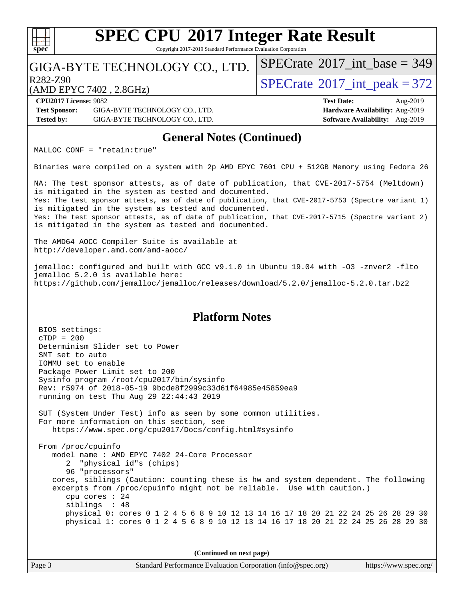Copyright 2017-2019 Standard Performance Evaluation Corporation

### GIGA-BYTE TECHNOLOGY CO., LTD.

R282-Z90<br>  $\text{SPECTate}^{\circ}2017\_int\_peak = 372$ 

 $SPECTate$ <sup>®</sup>[2017\\_int\\_base =](http://www.spec.org/auto/cpu2017/Docs/result-fields.html#SPECrate2017intbase) 349

(AMD EPYC 7402 , 2.8GHz)

**[spec](http://www.spec.org/)**

 $+\ +$ 

**[CPU2017 License:](http://www.spec.org/auto/cpu2017/Docs/result-fields.html#CPU2017License)** 9082 **[Test Date:](http://www.spec.org/auto/cpu2017/Docs/result-fields.html#TestDate)** Aug-2019 **[Test Sponsor:](http://www.spec.org/auto/cpu2017/Docs/result-fields.html#TestSponsor)** GIGA-BYTE TECHNOLOGY CO., LTD. **[Hardware Availability:](http://www.spec.org/auto/cpu2017/Docs/result-fields.html#HardwareAvailability)** Aug-2019 **[Tested by:](http://www.spec.org/auto/cpu2017/Docs/result-fields.html#Testedby)** GIGA-BYTE TECHNOLOGY CO., LTD. **[Software Availability:](http://www.spec.org/auto/cpu2017/Docs/result-fields.html#SoftwareAvailability)** Aug-2019

### **[General Notes \(Continued\)](http://www.spec.org/auto/cpu2017/Docs/result-fields.html#GeneralNotes)**

MALLOC\_CONF = "retain:true"

Binaries were compiled on a system with 2p AMD EPYC 7601 CPU + 512GB Memory using Fedora 26

NA: The test sponsor attests, as of date of publication, that CVE-2017-5754 (Meltdown) is mitigated in the system as tested and documented. Yes: The test sponsor attests, as of date of publication, that CVE-2017-5753 (Spectre variant 1) is mitigated in the system as tested and documented. Yes: The test sponsor attests, as of date of publication, that CVE-2017-5715 (Spectre variant 2) is mitigated in the system as tested and documented.

The AMD64 AOCC Compiler Suite is available at <http://developer.amd.com/amd-aocc/>

jemalloc: configured and built with GCC v9.1.0 in Ubuntu 19.04 with -O3 -znver2 -flto jemalloc 5.2.0 is available here: <https://github.com/jemalloc/jemalloc/releases/download/5.2.0/jemalloc-5.2.0.tar.bz2>

#### **[Platform Notes](http://www.spec.org/auto/cpu2017/Docs/result-fields.html#PlatformNotes)**

 BIOS settings: cTDP = 200 Determinism Slider set to Power SMT set to auto IOMMU set to enable Package Power Limit set to 200 Sysinfo program /root/cpu2017/bin/sysinfo Rev: r5974 of 2018-05-19 9bcde8f2999c33d61f64985e45859ea9 running on test Thu Aug 29 22:44:43 2019 SUT (System Under Test) info as seen by some common utilities. For more information on this section, see <https://www.spec.org/cpu2017/Docs/config.html#sysinfo> From /proc/cpuinfo model name : AMD EPYC 7402 24-Core Processor 2 "physical id"s (chips) 96 "processors" cores, siblings (Caution: counting these is hw and system dependent. The following excerpts from /proc/cpuinfo might not be reliable. Use with caution.) cpu cores : 24 siblings : 48 physical 0: cores 0 1 2 4 5 6 8 9 10 12 13 14 16 17 18 20 21 22 24 25 26 28 29 30 physical 1: cores 0 1 2 4 5 6 8 9 10 12 13 14 16 17 18 20 21 22 24 25 26 28 29 30

**(Continued on next page)**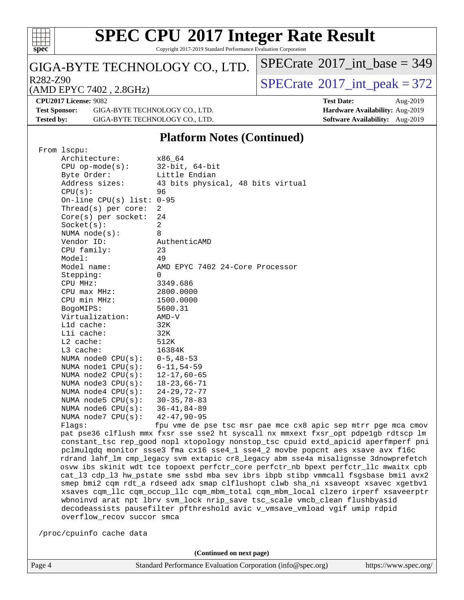

Copyright 2017-2019 Standard Performance Evaluation Corporation

### GIGA-BYTE TECHNOLOGY CO., LTD.

R282-Z90<br>(AMD EPYC 7402 2 8GHz) [SPECrate](http://www.spec.org/auto/cpu2017/Docs/result-fields.html#SPECrate2017intpeak)®[2017\\_int\\_peak = 3](http://www.spec.org/auto/cpu2017/Docs/result-fields.html#SPECrate2017intpeak)72

 $SPECrate$ <sup>®</sup>[2017\\_int\\_base =](http://www.spec.org/auto/cpu2017/Docs/result-fields.html#SPECrate2017intbase) 349

#### (AMD EPYC 7402 , 2.8GHz)

**[CPU2017 License:](http://www.spec.org/auto/cpu2017/Docs/result-fields.html#CPU2017License)** 9082 **[Test Date:](http://www.spec.org/auto/cpu2017/Docs/result-fields.html#TestDate)** Aug-2019 **[Test Sponsor:](http://www.spec.org/auto/cpu2017/Docs/result-fields.html#TestSponsor)** GIGA-BYTE TECHNOLOGY CO., LTD. **[Hardware Availability:](http://www.spec.org/auto/cpu2017/Docs/result-fields.html#HardwareAvailability)** Aug-2019 **[Tested by:](http://www.spec.org/auto/cpu2017/Docs/result-fields.html#Testedby)** GIGA-BYTE TECHNOLOGY CO., LTD. **[Software Availability:](http://www.spec.org/auto/cpu2017/Docs/result-fields.html#SoftwareAvailability)** Aug-2019

### **[Platform Notes \(Continued\)](http://www.spec.org/auto/cpu2017/Docs/result-fields.html#PlatformNotes)**

|  | From 1scpu:                                                                                                                                                                 |                                                                                      |  |  |  |  |  |
|--|-----------------------------------------------------------------------------------------------------------------------------------------------------------------------------|--------------------------------------------------------------------------------------|--|--|--|--|--|
|  | Architecture:                                                                                                                                                               | x86 64                                                                               |  |  |  |  |  |
|  | $CPU$ op-mode( $s$ ):                                                                                                                                                       | $32$ -bit, $64$ -bit                                                                 |  |  |  |  |  |
|  | Byte Order:                                                                                                                                                                 | Little Endian                                                                        |  |  |  |  |  |
|  | Address sizes:                                                                                                                                                              | 43 bits physical, 48 bits virtual                                                    |  |  |  |  |  |
|  | CPU(s):                                                                                                                                                                     | 96                                                                                   |  |  |  |  |  |
|  | On-line CPU(s) list: $0-95$                                                                                                                                                 |                                                                                      |  |  |  |  |  |
|  | Thread( $s$ ) per core:                                                                                                                                                     | 2                                                                                    |  |  |  |  |  |
|  | $Core(s)$ per socket:                                                                                                                                                       | 24                                                                                   |  |  |  |  |  |
|  | Socket(s):                                                                                                                                                                  | $\overline{a}$                                                                       |  |  |  |  |  |
|  | NUMA $node(s):$                                                                                                                                                             | 8                                                                                    |  |  |  |  |  |
|  | Vendor ID:                                                                                                                                                                  | AuthenticAMD                                                                         |  |  |  |  |  |
|  | CPU family:                                                                                                                                                                 | 23                                                                                   |  |  |  |  |  |
|  | Model:                                                                                                                                                                      | 49                                                                                   |  |  |  |  |  |
|  | Model name:                                                                                                                                                                 | AMD EPYC 7402 24-Core Processor                                                      |  |  |  |  |  |
|  |                                                                                                                                                                             | 0                                                                                    |  |  |  |  |  |
|  | Stepping:                                                                                                                                                                   |                                                                                      |  |  |  |  |  |
|  | CPU MHz:                                                                                                                                                                    | 3349.686                                                                             |  |  |  |  |  |
|  | $CPU$ max $MHz$ :                                                                                                                                                           | 2800.0000                                                                            |  |  |  |  |  |
|  | CPU min MHz:                                                                                                                                                                | 1500.0000                                                                            |  |  |  |  |  |
|  | BogoMIPS:                                                                                                                                                                   | 5600.31                                                                              |  |  |  |  |  |
|  | Virtualization:                                                                                                                                                             | AMD-V                                                                                |  |  |  |  |  |
|  | L1d cache:                                                                                                                                                                  | 32K                                                                                  |  |  |  |  |  |
|  | Lli cache:                                                                                                                                                                  | 32K                                                                                  |  |  |  |  |  |
|  | L2 cache:                                                                                                                                                                   | 512K                                                                                 |  |  |  |  |  |
|  | L3 cache:                                                                                                                                                                   | 16384K                                                                               |  |  |  |  |  |
|  | NUMA node0 CPU(s):                                                                                                                                                          | $0 - 5, 48 - 53$                                                                     |  |  |  |  |  |
|  | NUMA nodel CPU(s):                                                                                                                                                          | $6 - 11, 54 - 59$                                                                    |  |  |  |  |  |
|  | NUMA node2 CPU(s):                                                                                                                                                          | $12 - 17,60 - 65$                                                                    |  |  |  |  |  |
|  | NUMA $node3$ $CPU(s):$                                                                                                                                                      | $18 - 23,66 - 71$                                                                    |  |  |  |  |  |
|  | NUMA $node4$ CPU $(s)$ :                                                                                                                                                    | $24 - 29, 72 - 77$                                                                   |  |  |  |  |  |
|  | NUMA $node5$ $CPU(s):$                                                                                                                                                      | $30 - 35, 78 - 83$                                                                   |  |  |  |  |  |
|  | NUMA node6 $CPU(s):$                                                                                                                                                        | $36 - 41, 84 - 89$                                                                   |  |  |  |  |  |
|  | NUMA node7 CPU(s):                                                                                                                                                          | $42 - 47, 90 - 95$                                                                   |  |  |  |  |  |
|  | Flaqs:                                                                                                                                                                      | fpu vme de pse tsc msr pae mce cx8 apic sep mtrr pge mca cmov                        |  |  |  |  |  |
|  |                                                                                                                                                                             | pat pse36 clflush mmx fxsr sse sse2 ht syscall nx mmxext fxsr_opt pdpe1gb rdtscp lm  |  |  |  |  |  |
|  |                                                                                                                                                                             | constant_tsc rep_good nopl xtopology nonstop_tsc cpuid extd_apicid aperfmperf pni    |  |  |  |  |  |
|  |                                                                                                                                                                             | pclmulqdq monitor ssse3 fma cx16 sse4_1 sse4_2 movbe popcnt aes xsave avx f16c       |  |  |  |  |  |
|  |                                                                                                                                                                             | rdrand lahf_lm cmp_legacy svm extapic cr8_legacy abm sse4a misalignsse 3dnowprefetch |  |  |  |  |  |
|  | osvw ibs skinit wdt tce topoext perfctr_core perfctr_nb bpext perfctr_llc mwaitx cpb<br>cat_13 cdp_13 hw_pstate sme ssbd mba sev ibrs ibpb stibp vmmcall fsgsbase bmil avx2 |                                                                                      |  |  |  |  |  |
|  |                                                                                                                                                                             |                                                                                      |  |  |  |  |  |
|  |                                                                                                                                                                             | smep bmi2 cqm rdt_a rdseed adx smap clflushopt clwb sha_ni xsaveopt xsavec xgetbvl   |  |  |  |  |  |
|  |                                                                                                                                                                             | xsaves cqm_llc cqm_occup_llc cqm_mbm_total cqm_mbm_local clzero irperf xsaveerptr    |  |  |  |  |  |
|  |                                                                                                                                                                             | wbnoinvd arat npt lbrv svm_lock nrip_save tsc_scale vmcb_clean flushbyasid           |  |  |  |  |  |
|  |                                                                                                                                                                             | decodeassists pausefilter pfthreshold avic v_vmsave_vmload vgif umip rdpid           |  |  |  |  |  |
|  | overflow_recov succor smca                                                                                                                                                  |                                                                                      |  |  |  |  |  |
|  |                                                                                                                                                                             |                                                                                      |  |  |  |  |  |
|  | /proc/cpuinfo cache data                                                                                                                                                    |                                                                                      |  |  |  |  |  |
|  |                                                                                                                                                                             |                                                                                      |  |  |  |  |  |

**(Continued on next page)**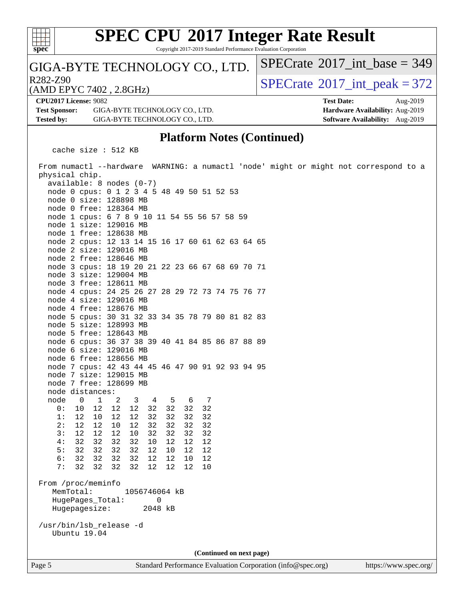

Copyright 2017-2019 Standard Performance Evaluation Corporation

### GIGA-BYTE TECHNOLOGY CO., LTD.

 $R^{282-Z90}$   $\langle \text{AMD FPYC 7402} \rangle$   $\langle \text{8GHz} \rangle$   $\langle \text{SPECrate} \text{°}2017\_int\_peak = 372 \rangle$  $\langle \text{SPECrate} \text{°}2017\_int\_peak = 372 \rangle$  $\langle \text{SPECrate} \text{°}2017\_int\_peak = 372 \rangle$ 

 $SPECTate$ <sup>®</sup>[2017\\_int\\_base =](http://www.spec.org/auto/cpu2017/Docs/result-fields.html#SPECrate2017intbase) 349

(AMD EPYC 7402 , 2.8GHz)

**[CPU2017 License:](http://www.spec.org/auto/cpu2017/Docs/result-fields.html#CPU2017License)** 9082 **[Test Date:](http://www.spec.org/auto/cpu2017/Docs/result-fields.html#TestDate)** Aug-2019 **[Test Sponsor:](http://www.spec.org/auto/cpu2017/Docs/result-fields.html#TestSponsor)** GIGA-BYTE TECHNOLOGY CO., LTD. **[Hardware Availability:](http://www.spec.org/auto/cpu2017/Docs/result-fields.html#HardwareAvailability)** Aug-2019 **[Tested by:](http://www.spec.org/auto/cpu2017/Docs/result-fields.html#Testedby)** GIGA-BYTE TECHNOLOGY CO., LTD. **[Software Availability:](http://www.spec.org/auto/cpu2017/Docs/result-fields.html#SoftwareAvailability)** Aug-2019

#### **[Platform Notes \(Continued\)](http://www.spec.org/auto/cpu2017/Docs/result-fields.html#PlatformNotes)**

cache size : 512 KB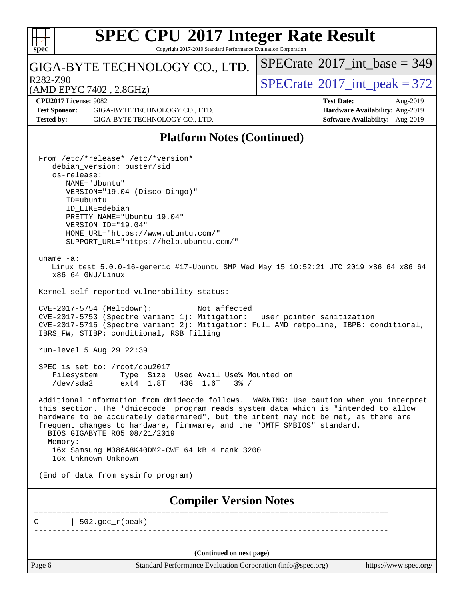

 $\pm\pm\sqrt{2}$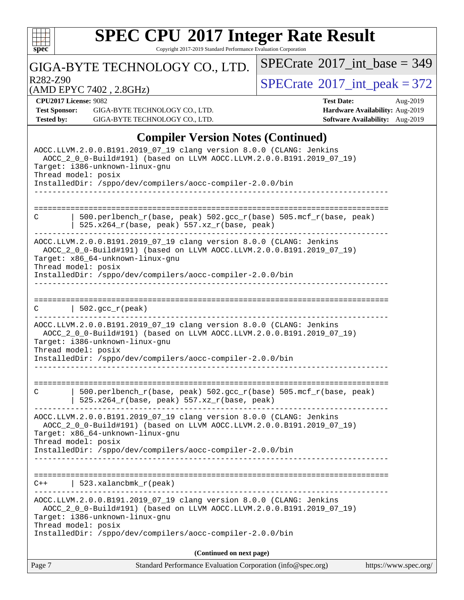

Copyright 2017-2019 Standard Performance Evaluation Corporation

### GIGA-BYTE TECHNOLOGY CO., LTD.

R282-Z90<br>  $\begin{array}{|c|c|c|c|}\n\hline\n\text{R282-Z90} & 2.8644 & 3.72 \\
\hline\n\end{array}$ 

 $SPECrate$ <sup>®</sup>[2017\\_int\\_base =](http://www.spec.org/auto/cpu2017/Docs/result-fields.html#SPECrate2017intbase) 349

(AMD EPYC 7402 , 2.8GHz)

**[CPU2017 License:](http://www.spec.org/auto/cpu2017/Docs/result-fields.html#CPU2017License)** 9082 **[Test Date:](http://www.spec.org/auto/cpu2017/Docs/result-fields.html#TestDate)** Aug-2019

**[Test Sponsor:](http://www.spec.org/auto/cpu2017/Docs/result-fields.html#TestSponsor)** GIGA-BYTE TECHNOLOGY CO., LTD. **[Hardware Availability:](http://www.spec.org/auto/cpu2017/Docs/result-fields.html#HardwareAvailability)** Aug-2019 **[Tested by:](http://www.spec.org/auto/cpu2017/Docs/result-fields.html#Testedby)** GIGA-BYTE TECHNOLOGY CO., LTD. **[Software Availability:](http://www.spec.org/auto/cpu2017/Docs/result-fields.html#SoftwareAvailability)** Aug-2019

### **[Compiler Version Notes \(Continued\)](http://www.spec.org/auto/cpu2017/Docs/result-fields.html#CompilerVersionNotes)**

| Page 7<br>Standard Performance Evaluation Corporation (info@spec.org)                                                                                                                                                                                              | https://www.spec.org/ |
|--------------------------------------------------------------------------------------------------------------------------------------------------------------------------------------------------------------------------------------------------------------------|-----------------------|
| (Continued on next page)                                                                                                                                                                                                                                           |                       |
| Thread model: posix<br>InstalledDir: /sppo/dev/compilers/aocc-compiler-2.0.0/bin                                                                                                                                                                                   |                       |
| AOCC.LLVM.2.0.0.B191.2019_07_19 clang version 8.0.0 (CLANG: Jenkins<br>AOCC 2 0 0-Build#191) (based on LLVM AOCC.LLVM.2.0.0.B191.2019 07 19)<br>Target: i386-unknown-linux-gnu                                                                                     |                       |
| 523.xalancbmk_r(peak)<br>C++                                                                                                                                                                                                                                       |                       |
| InstalledDir: /sppo/dev/compilers/aocc-compiler-2.0.0/bin                                                                                                                                                                                                          |                       |
| AOCC.LLVM.2.0.0.B191.2019_07_19 clang version 8.0.0 (CLANG: Jenkins<br>AOCC_2_0_0-Build#191) (based on LLVM AOCC.LLVM.2.0.0.B191.2019_07_19)<br>Target: x86_64-unknown-linux-gnu<br>Thread model: posix                                                            |                       |
| =================<br>500.perlbench_r(base, peak) 502.gcc_r(base) 505.mcf_r(base, peak)<br>C<br>525.x264_r(base, peak) 557.xz_r(base, peak)                                                                                                                         |                       |
| AOCC.LLVM.2.0.0.B191.2019_07_19 clang version 8.0.0 (CLANG: Jenkins<br>AOCC_2_0_0-Build#191) (based on LLVM AOCC.LLVM.2.0.0.B191.2019_07_19)<br>Target: i386-unknown-linux-gnu<br>Thread model: posix<br>InstalledDir: /sppo/dev/compilers/aocc-compiler-2.0.0/bin |                       |
| $  502.\text{gcc_r(peak)}$<br>C                                                                                                                                                                                                                                    |                       |
| Thread model: posix<br>InstalledDir: /sppo/dev/compilers/aocc-compiler-2.0.0/bin                                                                                                                                                                                   |                       |
| AOCC.LLVM.2.0.0.B191.2019_07_19 clang version 8.0.0 (CLANG: Jenkins<br>AOCC_2_0_0-Build#191) (based on LLVM AOCC.LLVM.2.0.0.B191.2019_07_19)<br>Target: x86_64-unknown-linux-gnu                                                                                   |                       |
| ------------------------------------<br>500.perlbench_r(base, peak) 502.gcc_r(base) 505.mcf_r(base, peak)<br>C<br>525.x264_r(base, peak) 557.xz_r(base, peak)                                                                                                      |                       |
|                                                                                                                                                                                                                                                                    |                       |
| AOCC.LLVM.2.0.0.B191.2019_07_19 clang version 8.0.0 (CLANG: Jenkins<br>AOCC_2_0_0-Build#191) (based on LLVM AOCC.LLVM.2.0.0.B191.2019_07_19)<br>Target: i386-unknown-linux-gnu<br>Thread model: posix<br>InstalledDir: /sppo/dev/compilers/aocc-compiler-2.0.0/bin |                       |
|                                                                                                                                                                                                                                                                    |                       |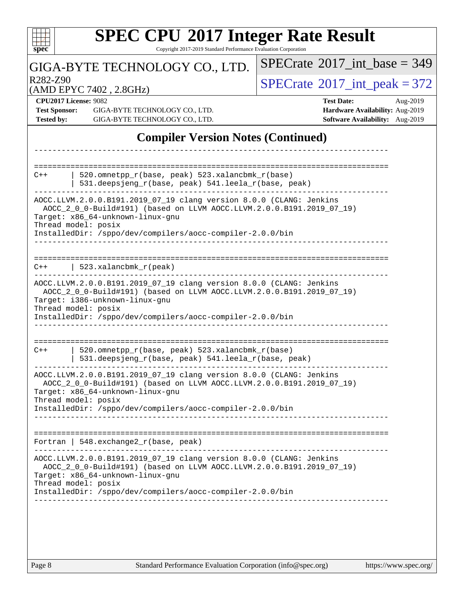| $spec^*$                                  | <b>SPEC CPU®2017 Integer Rate Result</b><br>Copyright 2017-2019 Standard Performance Evaluation Corporation                                                                                                                                                          |                                                                                                     |  |  |  |
|-------------------------------------------|----------------------------------------------------------------------------------------------------------------------------------------------------------------------------------------------------------------------------------------------------------------------|-----------------------------------------------------------------------------------------------------|--|--|--|
|                                           | GIGA-BYTE TECHNOLOGY CO., LTD.                                                                                                                                                                                                                                       | $SPECrate^{\circledast}2017$ int base = 349                                                         |  |  |  |
| R282-Z90                                  |                                                                                                                                                                                                                                                                      | $SPECTate$ <sup>®</sup> 2017_int_peak = 372                                                         |  |  |  |
| <b>Test Sponsor:</b><br><b>Tested by:</b> | (AMD EPYC 7402, 2.8GHz)<br><b>CPU2017 License: 9082</b><br>GIGA-BYTE TECHNOLOGY CO., LTD.<br>GIGA-BYTE TECHNOLOGY CO., LTD.                                                                                                                                          | <b>Test Date:</b><br>Aug-2019<br>Hardware Availability: Aug-2019<br>Software Availability: Aug-2019 |  |  |  |
|                                           | <b>Compiler Version Notes (Continued)</b>                                                                                                                                                                                                                            |                                                                                                     |  |  |  |
| $C++$                                     | 520.omnetpp_r(base, peak) 523.xalancbmk_r(base)<br>531.deepsjeng_r(base, peak) 541.leela_r(base, peak)                                                                                                                                                               |                                                                                                     |  |  |  |
|                                           | AOCC.LLVM.2.0.0.B191.2019_07_19 clang version 8.0.0 (CLANG: Jenkins<br>AOCC_2_0_0-Build#191) (based on LLVM AOCC.LLVM.2.0.0.B191.2019_07_19)<br>Target: x86_64-unknown-linux-gnu<br>Thread model: posix<br>InstalledDir: /sppo/dev/compilers/aocc-compiler-2.0.0/bin |                                                                                                     |  |  |  |
| $C++$                                     | 523.xalancbmk_r(peak)                                                                                                                                                                                                                                                |                                                                                                     |  |  |  |
|                                           | AOCC.LLVM.2.0.0.B191.2019_07_19 clang version 8.0.0 (CLANG: Jenkins<br>AOCC_2_0_0-Build#191) (based on LLVM AOCC.LLVM.2.0.0.B191.2019_07_19)<br>Target: i386-unknown-linux-gnu<br>Thread model: posix<br>InstalledDir: /sppo/dev/compilers/aocc-compiler-2.0.0/bin   |                                                                                                     |  |  |  |
| $C++$                                     | 520.omnetpp_r(base, peak) 523.xalancbmk_r(base)<br>531.deepsjeng_r(base, peak) 541.leela_r(base, peak)                                                                                                                                                               |                                                                                                     |  |  |  |
|                                           | AOCC.LLVM.2.0.0.B191.2019_07_19 clang version 8.0.0 (CLANG: Jenkins<br>AOCC_2_0_0-Build#191) (based on LLVM AOCC.LLVM.2.0.0.B191.2019_07_19)<br>Target: x86_64-unknown-linux-gnu<br>Thread model: posix<br>InstalledDir: /sppo/dev/compilers/aocc-compiler-2.0.0/bin |                                                                                                     |  |  |  |
|                                           | Fortran   $548$ . exchange $2r$ (base, peak)                                                                                                                                                                                                                         |                                                                                                     |  |  |  |
|                                           | AOCC.LLVM.2.0.0.B191.2019_07_19 clang version 8.0.0 (CLANG: Jenkins<br>AOCC_2_0_0-Build#191) (based on LLVM AOCC.LLVM.2.0.0.B191.2019_07_19)<br>Target: x86_64-unknown-linux-gnu<br>Thread model: posix                                                              |                                                                                                     |  |  |  |
|                                           | InstalledDir: /sppo/dev/compilers/aocc-compiler-2.0.0/bin                                                                                                                                                                                                            |                                                                                                     |  |  |  |
|                                           |                                                                                                                                                                                                                                                                      |                                                                                                     |  |  |  |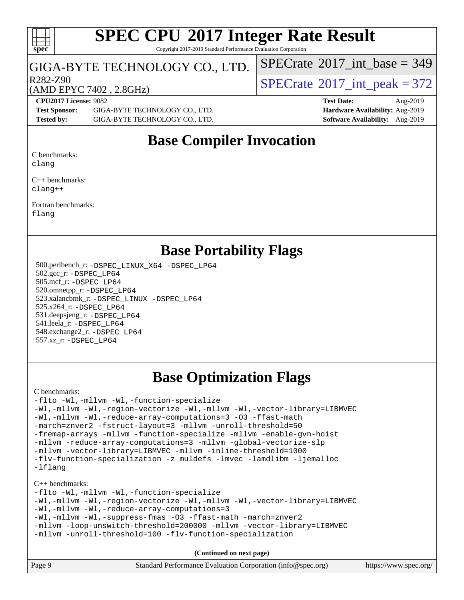#### $\pm\pm\tau$ **[spec](http://www.spec.org/)**

# **[SPEC CPU](http://www.spec.org/auto/cpu2017/Docs/result-fields.html#SPECCPU2017IntegerRateResult)[2017 Integer Rate Result](http://www.spec.org/auto/cpu2017/Docs/result-fields.html#SPECCPU2017IntegerRateResult)**

Copyright 2017-2019 Standard Performance Evaluation Corporation

#### GIGA-BYTE TECHNOLOGY CO., LTD.

 $R^{282-Z90}$ <br>(AMD EPYC 7402 2 8GHz) [SPECrate](http://www.spec.org/auto/cpu2017/Docs/result-fields.html#SPECrate2017intpeak)®[2017\\_int\\_peak = 3](http://www.spec.org/auto/cpu2017/Docs/result-fields.html#SPECrate2017intpeak)72

 $SPECTate$ <sup>®</sup>[2017\\_int\\_base =](http://www.spec.org/auto/cpu2017/Docs/result-fields.html#SPECrate2017intbase) 349

### (AMD EPYC 7402 , 2.8GHz)

**[Test Sponsor:](http://www.spec.org/auto/cpu2017/Docs/result-fields.html#TestSponsor)** GIGA-BYTE TECHNOLOGY CO., LTD. **[Hardware Availability:](http://www.spec.org/auto/cpu2017/Docs/result-fields.html#HardwareAvailability)** Aug-2019 **[Tested by:](http://www.spec.org/auto/cpu2017/Docs/result-fields.html#Testedby)** GIGA-BYTE TECHNOLOGY CO., LTD. **[Software Availability:](http://www.spec.org/auto/cpu2017/Docs/result-fields.html#SoftwareAvailability)** Aug-2019

**[CPU2017 License:](http://www.spec.org/auto/cpu2017/Docs/result-fields.html#CPU2017License)** 9082 **[Test Date:](http://www.spec.org/auto/cpu2017/Docs/result-fields.html#TestDate)** Aug-2019

### **[Base Compiler Invocation](http://www.spec.org/auto/cpu2017/Docs/result-fields.html#BaseCompilerInvocation)**

[C benchmarks:](http://www.spec.org/auto/cpu2017/Docs/result-fields.html#Cbenchmarks) [clang](http://www.spec.org/cpu2017/results/res2019q3/cpu2017-20190902-17340.flags.html#user_CCbase_clang-c)

[C++ benchmarks:](http://www.spec.org/auto/cpu2017/Docs/result-fields.html#CXXbenchmarks)

[clang++](http://www.spec.org/cpu2017/results/res2019q3/cpu2017-20190902-17340.flags.html#user_CXXbase_clang-cpp)

[Fortran benchmarks](http://www.spec.org/auto/cpu2017/Docs/result-fields.html#Fortranbenchmarks): [flang](http://www.spec.org/cpu2017/results/res2019q3/cpu2017-20190902-17340.flags.html#user_FCbase_flang)

### **[Base Portability Flags](http://www.spec.org/auto/cpu2017/Docs/result-fields.html#BasePortabilityFlags)**

 500.perlbench\_r: [-DSPEC\\_LINUX\\_X64](http://www.spec.org/cpu2017/results/res2019q3/cpu2017-20190902-17340.flags.html#b500.perlbench_r_basePORTABILITY_DSPEC_LINUX_X64) [-DSPEC\\_LP64](http://www.spec.org/cpu2017/results/res2019q3/cpu2017-20190902-17340.flags.html#b500.perlbench_r_baseEXTRA_PORTABILITY_DSPEC_LP64) 502.gcc\_r: [-DSPEC\\_LP64](http://www.spec.org/cpu2017/results/res2019q3/cpu2017-20190902-17340.flags.html#suite_baseEXTRA_PORTABILITY502_gcc_r_DSPEC_LP64) 505.mcf\_r: [-DSPEC\\_LP64](http://www.spec.org/cpu2017/results/res2019q3/cpu2017-20190902-17340.flags.html#suite_baseEXTRA_PORTABILITY505_mcf_r_DSPEC_LP64) 520.omnetpp\_r: [-DSPEC\\_LP64](http://www.spec.org/cpu2017/results/res2019q3/cpu2017-20190902-17340.flags.html#suite_baseEXTRA_PORTABILITY520_omnetpp_r_DSPEC_LP64) 523.xalancbmk\_r: [-DSPEC\\_LINUX](http://www.spec.org/cpu2017/results/res2019q3/cpu2017-20190902-17340.flags.html#b523.xalancbmk_r_basePORTABILITY_DSPEC_LINUX) [-DSPEC\\_LP64](http://www.spec.org/cpu2017/results/res2019q3/cpu2017-20190902-17340.flags.html#suite_baseEXTRA_PORTABILITY523_xalancbmk_r_DSPEC_LP64) 525.x264\_r: [-DSPEC\\_LP64](http://www.spec.org/cpu2017/results/res2019q3/cpu2017-20190902-17340.flags.html#suite_baseEXTRA_PORTABILITY525_x264_r_DSPEC_LP64) 531.deepsjeng\_r: [-DSPEC\\_LP64](http://www.spec.org/cpu2017/results/res2019q3/cpu2017-20190902-17340.flags.html#suite_baseEXTRA_PORTABILITY531_deepsjeng_r_DSPEC_LP64) 541.leela\_r: [-DSPEC\\_LP64](http://www.spec.org/cpu2017/results/res2019q3/cpu2017-20190902-17340.flags.html#suite_baseEXTRA_PORTABILITY541_leela_r_DSPEC_LP64) 548.exchange2\_r: [-DSPEC\\_LP64](http://www.spec.org/cpu2017/results/res2019q3/cpu2017-20190902-17340.flags.html#suite_baseEXTRA_PORTABILITY548_exchange2_r_DSPEC_LP64) 557.xz\_r: [-DSPEC\\_LP64](http://www.spec.org/cpu2017/results/res2019q3/cpu2017-20190902-17340.flags.html#suite_baseEXTRA_PORTABILITY557_xz_r_DSPEC_LP64)

## **[Base Optimization Flags](http://www.spec.org/auto/cpu2017/Docs/result-fields.html#BaseOptimizationFlags)**

[C benchmarks](http://www.spec.org/auto/cpu2017/Docs/result-fields.html#Cbenchmarks):

```
-flto -Wl,-mllvm -Wl,-function-specialize
-Wl,-mllvm -Wl,-region-vectorize -Wl,-mllvm -Wl,-vector-library=LIBMVEC
-Wl,-mllvm -Wl,-reduce-array-computations=3 -O3 -ffast-math
-march=znver2 -fstruct-layout=3 -mllvm -unroll-threshold=50
-fremap-arrays -mllvm -function-specialize -mllvm -enable-gvn-hoist
-mllvm -reduce-array-computations=3 -mllvm -global-vectorize-slp
-mllvm -vector-library=LIBMVEC -mllvm -inline-threshold=1000
-flv-function-specialization -z muldefs -lmvec -lamdlibm -ljemalloc
-lflang
```
[C++ benchmarks:](http://www.spec.org/auto/cpu2017/Docs/result-fields.html#CXXbenchmarks)

[-flto](http://www.spec.org/cpu2017/results/res2019q3/cpu2017-20190902-17340.flags.html#user_CXXbase_aocc-flto) [-Wl,-mllvm -Wl,-function-specialize](http://www.spec.org/cpu2017/results/res2019q3/cpu2017-20190902-17340.flags.html#user_CXXbase_F-function-specialize_7e7e661e57922243ee67c9a1251cb8910e607325179a0ce7f2884e09a6f5d4a5ef0ae4f37e8a2a11c95fc48e931f06dc2b6016f14b511fcb441e048bef1b065a) [-Wl,-mllvm -Wl,-region-vectorize](http://www.spec.org/cpu2017/results/res2019q3/cpu2017-20190902-17340.flags.html#user_CXXbase_F-region-vectorize_fb6c6b5aa293c88efc6c7c2b52b20755e943585b1fe8658c35afef78727fff56e1a56891413c30e36b8e2a6f9a71126986319243e80eb6110b78b288f533c52b) [-Wl,-mllvm -Wl,-vector-library=LIBMVEC](http://www.spec.org/cpu2017/results/res2019q3/cpu2017-20190902-17340.flags.html#user_CXXbase_F-use-vector-library_0a14b27fae317f283640384a31f7bfcc2bd4c1d0b5cfc618a3a430800c9b20217b00f61303eff223a3251b4f06ffbc9739dc5296db9d1fbb9ad24a3939d86d66) [-Wl,-mllvm -Wl,-reduce-array-computations=3](http://www.spec.org/cpu2017/results/res2019q3/cpu2017-20190902-17340.flags.html#user_CXXbase_F-reduce-array-computations_b882aefe7a5dda4e33149f6299762b9a720dace3e498e13756f4c04e5a19edf5315c1f3993de2e61ec41e8c206231f84e05da7040e1bb5d69ba27d10a12507e4) [-Wl,-mllvm -Wl,-suppress-fmas](http://www.spec.org/cpu2017/results/res2019q3/cpu2017-20190902-17340.flags.html#user_CXXbase_F-suppress-fmas_f00f00630e4a059e8af9c161e9bbf420bcf19890a7f99d5933525e66aa4b0bb3ab2339d2b12d97d3a5f5d271e839fe9c109938e91fe06230fb53651590cfa1e8) [-O3](http://www.spec.org/cpu2017/results/res2019q3/cpu2017-20190902-17340.flags.html#user_CXXbase_F-O3) [-ffast-math](http://www.spec.org/cpu2017/results/res2019q3/cpu2017-20190902-17340.flags.html#user_CXXbase_aocc-ffast-math) [-march=znver2](http://www.spec.org/cpu2017/results/res2019q3/cpu2017-20190902-17340.flags.html#user_CXXbase_aocc-march_3e2e19cff2eeef60c5d90b059483627c9ea47eca6d66670dbd53f9185f6439e27eb5e104cf773e9e8ab18c8842ce63e461a3e948d0214bd567ef3ade411bf467) [-mllvm -loop-unswitch-threshold=200000](http://www.spec.org/cpu2017/results/res2019q3/cpu2017-20190902-17340.flags.html#user_CXXbase_F-loop-unswitch-threshold_f9a82ae3270e55b5fbf79d0d96ee93606b73edbbe527d20b18b7bff1a3a146ad50cfc7454c5297978340ae9213029016a7d16221274d672d3f7f42ed25274e1d) [-mllvm -vector-library=LIBMVEC](http://www.spec.org/cpu2017/results/res2019q3/cpu2017-20190902-17340.flags.html#user_CXXbase_F-use-vector-library_e584e20b4f7ec96aa109254b65d8e01d864f3d68580371b9d93ed7c338191d4cfce20c3c864632264effc6bbe4c7c38153d02096a342ee92501c4a53204a7871) [-mllvm -unroll-threshold=100](http://www.spec.org/cpu2017/results/res2019q3/cpu2017-20190902-17340.flags.html#user_CXXbase_F-unroll-threshold_2755d0c78138845d361fa1543e3a063fffa198df9b3edf0cfb856bbc88a81e1769b12ac7a550c5d35197be55360db1a3f95a8d1304df999456cabf5120c45168) [-flv-function-specialization](http://www.spec.org/cpu2017/results/res2019q3/cpu2017-20190902-17340.flags.html#user_CXXbase_F-flv-function-specialization)

**(Continued on next page)**

| Page 9 | Standard Performance Evaluation Corporation (info@spec.org) | https://www.spec.org/ |
|--------|-------------------------------------------------------------|-----------------------|
|--------|-------------------------------------------------------------|-----------------------|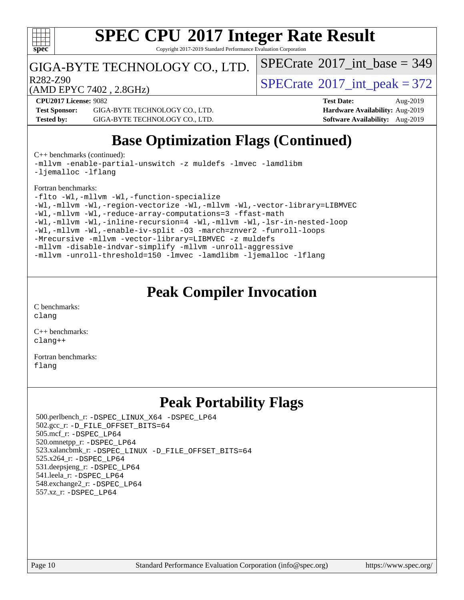

Copyright 2017-2019 Standard Performance Evaluation Corporation

### GIGA-BYTE TECHNOLOGY CO., LTD.

R282-Z90<br>  $\text{SPECTate}^{\circ}2017\_int\_peak = 372$ 

 $SPECTate$ <sup>®</sup>[2017\\_int\\_base =](http://www.spec.org/auto/cpu2017/Docs/result-fields.html#SPECrate2017intbase) 349

(AMD EPYC 7402 , 2.8GHz)

**[CPU2017 License:](http://www.spec.org/auto/cpu2017/Docs/result-fields.html#CPU2017License)** 9082 **[Test Date:](http://www.spec.org/auto/cpu2017/Docs/result-fields.html#TestDate)** Aug-2019 **[Test Sponsor:](http://www.spec.org/auto/cpu2017/Docs/result-fields.html#TestSponsor)** GIGA-BYTE TECHNOLOGY CO., LTD. **[Hardware Availability:](http://www.spec.org/auto/cpu2017/Docs/result-fields.html#HardwareAvailability)** Aug-2019 **[Tested by:](http://www.spec.org/auto/cpu2017/Docs/result-fields.html#Testedby)** GIGA-BYTE TECHNOLOGY CO., LTD. **[Software Availability:](http://www.spec.org/auto/cpu2017/Docs/result-fields.html#SoftwareAvailability)** Aug-2019

## **[Base Optimization Flags \(Continued\)](http://www.spec.org/auto/cpu2017/Docs/result-fields.html#BaseOptimizationFlags)**

[C++ benchmarks](http://www.spec.org/auto/cpu2017/Docs/result-fields.html#CXXbenchmarks) (continued):

[-mllvm -enable-partial-unswitch](http://www.spec.org/cpu2017/results/res2019q3/cpu2017-20190902-17340.flags.html#user_CXXbase_F-enable-partial-unswitch_6e1c33f981d77963b1eaf834973128a7f33ce3f8e27f54689656697a35e89dcc875281e0e6283d043e32f367dcb605ba0e307a92e830f7e326789fa6c61b35d3) [-z muldefs](http://www.spec.org/cpu2017/results/res2019q3/cpu2017-20190902-17340.flags.html#user_CXXbase_aocc-muldefs) [-lmvec](http://www.spec.org/cpu2017/results/res2019q3/cpu2017-20190902-17340.flags.html#user_CXXbase_F-lmvec) [-lamdlibm](http://www.spec.org/cpu2017/results/res2019q3/cpu2017-20190902-17340.flags.html#user_CXXbase_F-lamdlibm) [-ljemalloc](http://www.spec.org/cpu2017/results/res2019q3/cpu2017-20190902-17340.flags.html#user_CXXbase_jemalloc-lib) [-lflang](http://www.spec.org/cpu2017/results/res2019q3/cpu2017-20190902-17340.flags.html#user_CXXbase_F-lflang)

#### [Fortran benchmarks](http://www.spec.org/auto/cpu2017/Docs/result-fields.html#Fortranbenchmarks):

```
-flto -Wl,-mllvm -Wl,-function-specialize
-Wl,-mllvm -Wl,-region-vectorize-Wl,-mllvm -Wl,-vector-library=LIBMVEC
-Wl,-mllvm -Wl,-reduce-array-computations=3 -ffast-math
-Wl,-mllvm -Wl,-inline-recursion=4 -Wl,-mllvm -Wl,-lsr-in-nested-loop
-Wl,-mllvm -Wl,-enable-iv-split -O3 -march=znver2 -funroll-loops
-Mrecursive -mllvm -vector-library=LIBMVEC -z muldefs
-mllvm -disable-indvar-simplify -mllvm -unroll-aggressive
-mllvm -unroll-threshold=150 -lmvec -lamdlibm -ljemalloc -lflang
```
### **[Peak Compiler Invocation](http://www.spec.org/auto/cpu2017/Docs/result-fields.html#PeakCompilerInvocation)**

[C benchmarks](http://www.spec.org/auto/cpu2017/Docs/result-fields.html#Cbenchmarks): [clang](http://www.spec.org/cpu2017/results/res2019q3/cpu2017-20190902-17340.flags.html#user_CCpeak_clang-c)

[C++ benchmarks:](http://www.spec.org/auto/cpu2017/Docs/result-fields.html#CXXbenchmarks) [clang++](http://www.spec.org/cpu2017/results/res2019q3/cpu2017-20190902-17340.flags.html#user_CXXpeak_clang-cpp)

[Fortran benchmarks](http://www.spec.org/auto/cpu2017/Docs/result-fields.html#Fortranbenchmarks): [flang](http://www.spec.org/cpu2017/results/res2019q3/cpu2017-20190902-17340.flags.html#user_FCpeak_flang)

### **[Peak Portability Flags](http://www.spec.org/auto/cpu2017/Docs/result-fields.html#PeakPortabilityFlags)**

 500.perlbench\_r: [-DSPEC\\_LINUX\\_X64](http://www.spec.org/cpu2017/results/res2019q3/cpu2017-20190902-17340.flags.html#b500.perlbench_r_peakPORTABILITY_DSPEC_LINUX_X64) [-DSPEC\\_LP64](http://www.spec.org/cpu2017/results/res2019q3/cpu2017-20190902-17340.flags.html#b500.perlbench_r_peakEXTRA_PORTABILITY_DSPEC_LP64) 502.gcc\_r: [-D\\_FILE\\_OFFSET\\_BITS=64](http://www.spec.org/cpu2017/results/res2019q3/cpu2017-20190902-17340.flags.html#user_peakEXTRA_PORTABILITY502_gcc_r_F-D_FILE_OFFSET_BITS_5ae949a99b284ddf4e95728d47cb0843d81b2eb0e18bdfe74bbf0f61d0b064f4bda2f10ea5eb90e1dcab0e84dbc592acfc5018bc955c18609f94ddb8d550002c) 505.mcf\_r: [-DSPEC\\_LP64](http://www.spec.org/cpu2017/results/res2019q3/cpu2017-20190902-17340.flags.html#suite_peakEXTRA_PORTABILITY505_mcf_r_DSPEC_LP64) 520.omnetpp\_r: [-DSPEC\\_LP64](http://www.spec.org/cpu2017/results/res2019q3/cpu2017-20190902-17340.flags.html#suite_peakEXTRA_PORTABILITY520_omnetpp_r_DSPEC_LP64) 523.xalancbmk\_r: [-DSPEC\\_LINUX](http://www.spec.org/cpu2017/results/res2019q3/cpu2017-20190902-17340.flags.html#b523.xalancbmk_r_peakPORTABILITY_DSPEC_LINUX) [-D\\_FILE\\_OFFSET\\_BITS=64](http://www.spec.org/cpu2017/results/res2019q3/cpu2017-20190902-17340.flags.html#user_peakEXTRA_PORTABILITY523_xalancbmk_r_F-D_FILE_OFFSET_BITS_5ae949a99b284ddf4e95728d47cb0843d81b2eb0e18bdfe74bbf0f61d0b064f4bda2f10ea5eb90e1dcab0e84dbc592acfc5018bc955c18609f94ddb8d550002c) 525.x264\_r: [-DSPEC\\_LP64](http://www.spec.org/cpu2017/results/res2019q3/cpu2017-20190902-17340.flags.html#suite_peakEXTRA_PORTABILITY525_x264_r_DSPEC_LP64) 531.deepsjeng\_r: [-DSPEC\\_LP64](http://www.spec.org/cpu2017/results/res2019q3/cpu2017-20190902-17340.flags.html#suite_peakEXTRA_PORTABILITY531_deepsjeng_r_DSPEC_LP64) 541.leela\_r: [-DSPEC\\_LP64](http://www.spec.org/cpu2017/results/res2019q3/cpu2017-20190902-17340.flags.html#suite_peakEXTRA_PORTABILITY541_leela_r_DSPEC_LP64) 548.exchange2\_r: [-DSPEC\\_LP64](http://www.spec.org/cpu2017/results/res2019q3/cpu2017-20190902-17340.flags.html#suite_peakEXTRA_PORTABILITY548_exchange2_r_DSPEC_LP64) 557.xz\_r: [-DSPEC\\_LP64](http://www.spec.org/cpu2017/results/res2019q3/cpu2017-20190902-17340.flags.html#suite_peakEXTRA_PORTABILITY557_xz_r_DSPEC_LP64)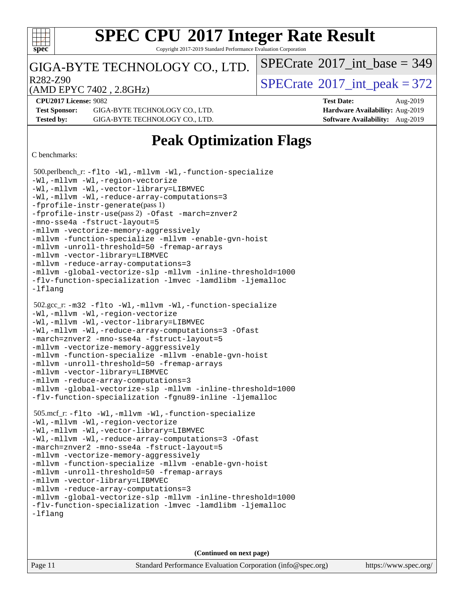

Copyright 2017-2019 Standard Performance Evaluation Corporation

### GIGA-BYTE TECHNOLOGY CO., LTD.

R282-Z90<br>  $\text{SPECTate}^{\circ}2017\_int\_peak = 372$ 

 $SPECTate$ <sup>®</sup>[2017\\_int\\_base =](http://www.spec.org/auto/cpu2017/Docs/result-fields.html#SPECrate2017intbase) 349

(AMD EPYC 7402 , 2.8GHz)

**[CPU2017 License:](http://www.spec.org/auto/cpu2017/Docs/result-fields.html#CPU2017License)** 9082 **[Test Date:](http://www.spec.org/auto/cpu2017/Docs/result-fields.html#TestDate)** Aug-2019 **[Test Sponsor:](http://www.spec.org/auto/cpu2017/Docs/result-fields.html#TestSponsor)** GIGA-BYTE TECHNOLOGY CO., LTD. **[Hardware Availability:](http://www.spec.org/auto/cpu2017/Docs/result-fields.html#HardwareAvailability)** Aug-2019

**[Tested by:](http://www.spec.org/auto/cpu2017/Docs/result-fields.html#Testedby)** GIGA-BYTE TECHNOLOGY CO., LTD. **[Software Availability:](http://www.spec.org/auto/cpu2017/Docs/result-fields.html#SoftwareAvailability)** Aug-2019

## **[Peak Optimization Flags](http://www.spec.org/auto/cpu2017/Docs/result-fields.html#PeakOptimizationFlags)**

[C benchmarks](http://www.spec.org/auto/cpu2017/Docs/result-fields.html#Cbenchmarks):

```
 500.perlbench_r: -flto -Wl,-mllvm -Wl,-function-specialize
-Wl,-mllvm -Wl,-region-vectorize
-Wl,-mllvm -Wl,-vector-library=LIBMVEC
-Wl,-mllvm -Wl,-reduce-array-computations=3
-fprofile-instr-generate(pass 1)
-fprofile-instr-use(pass 2) -Ofast -march=znver2
-mno-sse4a -fstruct-layout=5
-mllvm -vectorize-memory-aggressively
-mllvm -function-specialize -mllvm -enable-gvn-hoist
-mllvm -unroll-threshold=50 -fremap-arrays
-mllvm -vector-library=LIBMVEC
-mllvm -reduce-array-computations=3
-mllvm -global-vectorize-slp -mllvm -inline-threshold=1000
-flv-function-specialization -lmvec -lamdlibm -ljemalloc
-lflang
 502.gcc_r: -m32 -flto -Wl,-mllvm -Wl,-function-specialize
-Wl,-mllvm -Wl,-region-vectorize
-Wl,-mllvm -Wl,-vector-library=LIBMVEC
-Wl,-mllvm -Wl,-reduce-array-computations=3 -Ofast
-march=znver2 -mno-sse4a -fstruct-layout=5
-mllvm -vectorize-memory-aggressively
-mllvm -function-specialize -mllvm -enable-gvn-hoist
-mllvm -unroll-threshold=50 -fremap-arrays
-mllvm -vector-library=LIBMVEC
-mllvm -reduce-array-computations=3
-mllvm -global-vectorize-slp -mllvm -inline-threshold=1000
-flv-function-specialization -fgnu89-inline -ljemalloc
 505.mcf_r: -flto -Wl,-mllvm -Wl,-function-specialize
-Wl,-mllvm -Wl,-region-vectorize
-Wl,-mllvm -Wl,-vector-library=LIBMVEC
-Wl,-mllvm -Wl,-reduce-array-computations=3 -Ofast
-march=znver2 -mno-sse4a -fstruct-layout=5
-mllvm -vectorize-memory-aggressively
-mllvm -function-specialize -mllvm -enable-gvn-hoist
-mllvm -unroll-threshold=50 -fremap-arrays
-mllvm -vector-library=LIBMVEC
-mllvm -reduce-array-computations=3
-mllvm -global-vectorize-slp -mllvm -inline-threshold=1000
-flv-function-specialization -lmvec -lamdlibm -ljemalloc
-lflang
```
**(Continued on next page)**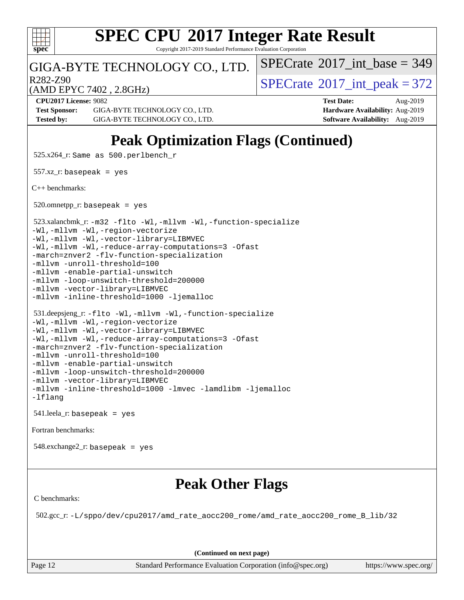

Copyright 2017-2019 Standard Performance Evaluation Corporation

### GIGA-BYTE TECHNOLOGY CO., LTD.

R282-Z90<br>  $\text{SPECTate}^{\circ}2017\_int\_peak = 372$ 

 $SPECTate$ <sup>®</sup>[2017\\_int\\_base =](http://www.spec.org/auto/cpu2017/Docs/result-fields.html#SPECrate2017intbase) 349

(AMD EPYC 7402 , 2.8GHz)

**[Test Sponsor:](http://www.spec.org/auto/cpu2017/Docs/result-fields.html#TestSponsor)** GIGA-BYTE TECHNOLOGY CO., LTD. **[Hardware Availability:](http://www.spec.org/auto/cpu2017/Docs/result-fields.html#HardwareAvailability)** Aug-2019 **[Tested by:](http://www.spec.org/auto/cpu2017/Docs/result-fields.html#Testedby)** GIGA-BYTE TECHNOLOGY CO., LTD. **[Software Availability:](http://www.spec.org/auto/cpu2017/Docs/result-fields.html#SoftwareAvailability)** Aug-2019

**[CPU2017 License:](http://www.spec.org/auto/cpu2017/Docs/result-fields.html#CPU2017License)** 9082 **[Test Date:](http://www.spec.org/auto/cpu2017/Docs/result-fields.html#TestDate)** Aug-2019

## **[Peak Optimization Flags \(Continued\)](http://www.spec.org/auto/cpu2017/Docs/result-fields.html#PeakOptimizationFlags)**

525.x264\_r: Same as 500.perlbench\_r

 $557.xz$ \_r: basepeak = yes

[C++ benchmarks:](http://www.spec.org/auto/cpu2017/Docs/result-fields.html#CXXbenchmarks)

 $520.$ omnetpp\_r: basepeak = yes

523.xalancbmk\_r: [-m32](http://www.spec.org/cpu2017/results/res2019q3/cpu2017-20190902-17340.flags.html#user_peakCXXLD523_xalancbmk_r_F-m32) [-flto](http://www.spec.org/cpu2017/results/res2019q3/cpu2017-20190902-17340.flags.html#user_peakCXXOPTIMIZELDFLAGS523_xalancbmk_r_aocc-flto) [-Wl,-mllvm -Wl,-function-specialize](http://www.spec.org/cpu2017/results/res2019q3/cpu2017-20190902-17340.flags.html#user_peakLDFLAGS523_xalancbmk_r_F-function-specialize_7e7e661e57922243ee67c9a1251cb8910e607325179a0ce7f2884e09a6f5d4a5ef0ae4f37e8a2a11c95fc48e931f06dc2b6016f14b511fcb441e048bef1b065a)

[-Wl,-mllvm -Wl,-region-vectorize](http://www.spec.org/cpu2017/results/res2019q3/cpu2017-20190902-17340.flags.html#user_peakLDFLAGS523_xalancbmk_r_F-region-vectorize_fb6c6b5aa293c88efc6c7c2b52b20755e943585b1fe8658c35afef78727fff56e1a56891413c30e36b8e2a6f9a71126986319243e80eb6110b78b288f533c52b)

[-Wl,-mllvm -Wl,-vector-library=LIBMVEC](http://www.spec.org/cpu2017/results/res2019q3/cpu2017-20190902-17340.flags.html#user_peakLDFLAGS523_xalancbmk_r_F-use-vector-library_0a14b27fae317f283640384a31f7bfcc2bd4c1d0b5cfc618a3a430800c9b20217b00f61303eff223a3251b4f06ffbc9739dc5296db9d1fbb9ad24a3939d86d66) [-Wl,-mllvm -Wl,-reduce-array-computations=3](http://www.spec.org/cpu2017/results/res2019q3/cpu2017-20190902-17340.flags.html#user_peakLDFLAGS523_xalancbmk_r_F-reduce-array-computations_b882aefe7a5dda4e33149f6299762b9a720dace3e498e13756f4c04e5a19edf5315c1f3993de2e61ec41e8c206231f84e05da7040e1bb5d69ba27d10a12507e4) [-Ofast](http://www.spec.org/cpu2017/results/res2019q3/cpu2017-20190902-17340.flags.html#user_peakCXXOPTIMIZE523_xalancbmk_r_aocc-Ofast)

[-march=znver2](http://www.spec.org/cpu2017/results/res2019q3/cpu2017-20190902-17340.flags.html#user_peakCXXOPTIMIZE523_xalancbmk_r_aocc-march_3e2e19cff2eeef60c5d90b059483627c9ea47eca6d66670dbd53f9185f6439e27eb5e104cf773e9e8ab18c8842ce63e461a3e948d0214bd567ef3ade411bf467) [-flv-function-specialization](http://www.spec.org/cpu2017/results/res2019q3/cpu2017-20190902-17340.flags.html#user_peakCXXOPTIMIZE523_xalancbmk_r_F-flv-function-specialization)

[-mllvm -unroll-threshold=100](http://www.spec.org/cpu2017/results/res2019q3/cpu2017-20190902-17340.flags.html#user_peakCXXOPTIMIZE523_xalancbmk_r_F-unroll-threshold_2755d0c78138845d361fa1543e3a063fffa198df9b3edf0cfb856bbc88a81e1769b12ac7a550c5d35197be55360db1a3f95a8d1304df999456cabf5120c45168)

[-mllvm -enable-partial-unswitch](http://www.spec.org/cpu2017/results/res2019q3/cpu2017-20190902-17340.flags.html#user_peakCXXOPTIMIZE523_xalancbmk_r_F-enable-partial-unswitch_6e1c33f981d77963b1eaf834973128a7f33ce3f8e27f54689656697a35e89dcc875281e0e6283d043e32f367dcb605ba0e307a92e830f7e326789fa6c61b35d3)

[-mllvm -loop-unswitch-threshold=200000](http://www.spec.org/cpu2017/results/res2019q3/cpu2017-20190902-17340.flags.html#user_peakCXXOPTIMIZE523_xalancbmk_r_F-loop-unswitch-threshold_f9a82ae3270e55b5fbf79d0d96ee93606b73edbbe527d20b18b7bff1a3a146ad50cfc7454c5297978340ae9213029016a7d16221274d672d3f7f42ed25274e1d) [-mllvm -vector-library=LIBMVEC](http://www.spec.org/cpu2017/results/res2019q3/cpu2017-20190902-17340.flags.html#user_peakCXXOPTIMIZE523_xalancbmk_r_F-use-vector-library_e584e20b4f7ec96aa109254b65d8e01d864f3d68580371b9d93ed7c338191d4cfce20c3c864632264effc6bbe4c7c38153d02096a342ee92501c4a53204a7871)

[-mllvm -inline-threshold=1000](http://www.spec.org/cpu2017/results/res2019q3/cpu2017-20190902-17340.flags.html#user_peakCXXOPTIMIZE523_xalancbmk_r_dragonegg-llvm-inline-threshold_b7832241b0a6397e4ecdbaf0eb7defdc10f885c2a282fa3240fdc99844d543fda39cf8a4a9dccf68cf19b5438ac3b455264f478df15da0f4988afa40d8243bab) [-ljemalloc](http://www.spec.org/cpu2017/results/res2019q3/cpu2017-20190902-17340.flags.html#user_peakEXTRA_LIBS523_xalancbmk_r_jemalloc-lib)

 531.deepsjeng\_r: [-flto](http://www.spec.org/cpu2017/results/res2019q3/cpu2017-20190902-17340.flags.html#user_peakCXXOPTIMIZELDFLAGS531_deepsjeng_r_aocc-flto) [-Wl,-mllvm -Wl,-function-specialize](http://www.spec.org/cpu2017/results/res2019q3/cpu2017-20190902-17340.flags.html#user_peakLDFLAGS531_deepsjeng_r_F-function-specialize_7e7e661e57922243ee67c9a1251cb8910e607325179a0ce7f2884e09a6f5d4a5ef0ae4f37e8a2a11c95fc48e931f06dc2b6016f14b511fcb441e048bef1b065a) [-Wl,-mllvm -Wl,-region-vectorize](http://www.spec.org/cpu2017/results/res2019q3/cpu2017-20190902-17340.flags.html#user_peakLDFLAGS531_deepsjeng_r_F-region-vectorize_fb6c6b5aa293c88efc6c7c2b52b20755e943585b1fe8658c35afef78727fff56e1a56891413c30e36b8e2a6f9a71126986319243e80eb6110b78b288f533c52b) [-Wl,-mllvm -Wl,-vector-library=LIBMVEC](http://www.spec.org/cpu2017/results/res2019q3/cpu2017-20190902-17340.flags.html#user_peakLDFLAGS531_deepsjeng_r_F-use-vector-library_0a14b27fae317f283640384a31f7bfcc2bd4c1d0b5cfc618a3a430800c9b20217b00f61303eff223a3251b4f06ffbc9739dc5296db9d1fbb9ad24a3939d86d66) [-Wl,-mllvm -Wl,-reduce-array-computations=3](http://www.spec.org/cpu2017/results/res2019q3/cpu2017-20190902-17340.flags.html#user_peakLDFLAGS531_deepsjeng_r_F-reduce-array-computations_b882aefe7a5dda4e33149f6299762b9a720dace3e498e13756f4c04e5a19edf5315c1f3993de2e61ec41e8c206231f84e05da7040e1bb5d69ba27d10a12507e4) [-Ofast](http://www.spec.org/cpu2017/results/res2019q3/cpu2017-20190902-17340.flags.html#user_peakCXXOPTIMIZE531_deepsjeng_r_aocc-Ofast) [-march=znver2](http://www.spec.org/cpu2017/results/res2019q3/cpu2017-20190902-17340.flags.html#user_peakCXXOPTIMIZE531_deepsjeng_r_aocc-march_3e2e19cff2eeef60c5d90b059483627c9ea47eca6d66670dbd53f9185f6439e27eb5e104cf773e9e8ab18c8842ce63e461a3e948d0214bd567ef3ade411bf467) [-flv-function-specialization](http://www.spec.org/cpu2017/results/res2019q3/cpu2017-20190902-17340.flags.html#user_peakCXXOPTIMIZE531_deepsjeng_r_F-flv-function-specialization) [-mllvm -unroll-threshold=100](http://www.spec.org/cpu2017/results/res2019q3/cpu2017-20190902-17340.flags.html#user_peakCXXOPTIMIZE531_deepsjeng_r_F-unroll-threshold_2755d0c78138845d361fa1543e3a063fffa198df9b3edf0cfb856bbc88a81e1769b12ac7a550c5d35197be55360db1a3f95a8d1304df999456cabf5120c45168)

[-mllvm -enable-partial-unswitch](http://www.spec.org/cpu2017/results/res2019q3/cpu2017-20190902-17340.flags.html#user_peakCXXOPTIMIZE531_deepsjeng_r_F-enable-partial-unswitch_6e1c33f981d77963b1eaf834973128a7f33ce3f8e27f54689656697a35e89dcc875281e0e6283d043e32f367dcb605ba0e307a92e830f7e326789fa6c61b35d3) [-mllvm -loop-unswitch-threshold=200000](http://www.spec.org/cpu2017/results/res2019q3/cpu2017-20190902-17340.flags.html#user_peakCXXOPTIMIZE531_deepsjeng_r_F-loop-unswitch-threshold_f9a82ae3270e55b5fbf79d0d96ee93606b73edbbe527d20b18b7bff1a3a146ad50cfc7454c5297978340ae9213029016a7d16221274d672d3f7f42ed25274e1d) [-mllvm -vector-library=LIBMVEC](http://www.spec.org/cpu2017/results/res2019q3/cpu2017-20190902-17340.flags.html#user_peakCXXOPTIMIZE531_deepsjeng_r_F-use-vector-library_e584e20b4f7ec96aa109254b65d8e01d864f3d68580371b9d93ed7c338191d4cfce20c3c864632264effc6bbe4c7c38153d02096a342ee92501c4a53204a7871) [-mllvm -inline-threshold=1000](http://www.spec.org/cpu2017/results/res2019q3/cpu2017-20190902-17340.flags.html#user_peakCXXOPTIMIZE531_deepsjeng_r_dragonegg-llvm-inline-threshold_b7832241b0a6397e4ecdbaf0eb7defdc10f885c2a282fa3240fdc99844d543fda39cf8a4a9dccf68cf19b5438ac3b455264f478df15da0f4988afa40d8243bab) [-lmvec](http://www.spec.org/cpu2017/results/res2019q3/cpu2017-20190902-17340.flags.html#user_peakEXTRA_LIBS531_deepsjeng_r_F-lmvec) [-lamdlibm](http://www.spec.org/cpu2017/results/res2019q3/cpu2017-20190902-17340.flags.html#user_peakEXTRA_LIBS531_deepsjeng_r_F-lamdlibm) [-ljemalloc](http://www.spec.org/cpu2017/results/res2019q3/cpu2017-20190902-17340.flags.html#user_peakEXTRA_LIBS531_deepsjeng_r_jemalloc-lib) [-lflang](http://www.spec.org/cpu2017/results/res2019q3/cpu2017-20190902-17340.flags.html#user_peakEXTRA_LIBS531_deepsjeng_r_F-lflang)

541.leela\_r: basepeak = yes

[Fortran benchmarks](http://www.spec.org/auto/cpu2017/Docs/result-fields.html#Fortranbenchmarks):

548.exchange2\_r: basepeak = yes

## **[Peak Other Flags](http://www.spec.org/auto/cpu2017/Docs/result-fields.html#PeakOtherFlags)**

[C benchmarks](http://www.spec.org/auto/cpu2017/Docs/result-fields.html#Cbenchmarks):

502.gcc\_r: [-L/sppo/dev/cpu2017/amd\\_rate\\_aocc200\\_rome/amd\\_rate\\_aocc200\\_rome\\_B\\_lib/32](http://www.spec.org/cpu2017/results/res2019q3/cpu2017-20190902-17340.flags.html#user_peakEXTRA_LIBS502_gcc_r_Link_path_b5b00bf31c61d6947cc4d630bced3fb89849443ebddda32d892fa949b687351d25501389afe57599b9ceaeea7a84dd539259c16c4264887e55121a7d0c1762af)

**(Continued on next page)**